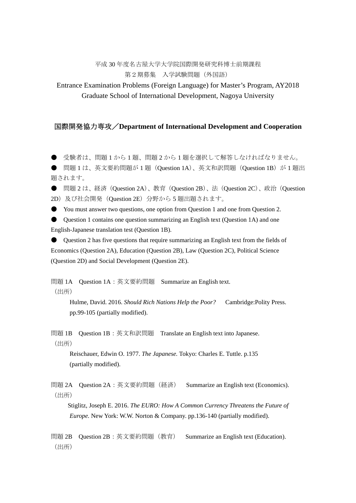## 平成 30 年度名古屋大学大学院国際開発研究科博士前期課程 第2期募集 入学試験問題(外国語)

Entrance Examination Problems (Foreign Language) for Master's Program, AY2018 Graduate School of International Development, Nagoya University

## 国際開発協力専攻/**Department of International Development and Cooperation**

● 受験者は、問題1から1題、問題2から1題を選択して解答しなければなりません。

● 問題 1 は、英文要約問題が 1 題(Question 1A)、英文和訳問題(Question 1B)が 1 題出 題されます。

● 問題 2 は、経済 (Question 2A)、教育 (Question 2B)、法 (Question 2C)、政治 (Question 2D)及び社会開発 (Question 2E) 分野から5 題出題されます。

● You must answer two questions, one option from Question 1 and one from Question 2.

 $\bullet$  Question 1 contains one question summarizing an English text (Question 1A) and one English-Japanese translation test (Question 1B).

● Question 2 has five questions that require summarizing an English text from the fields of Economics (Question 2A), Education (Question 2B), Law (Question 2C), Political Science (Question 2D) and Social Development (Question 2E).

問題 1A Question 1A:英文要約問題 Summarize an English text. (出所)

Hulme, David. 2016. *Should Rich Nations Help the Poor?* Cambridge:Polity Press. pp.99-105 (partially modified).

問題 1B Question 1B:英文和訳問題 Translate an English text into Japanese. (出所)

Reischauer, Edwin O. 1977. *The Japanese.* Tokyo: Charles E. Tuttle. p.135 (partially modified).

問題 2A Question 2A: 英文要約問題 (経済) Summarize an English text (Economics). (出所)

Stiglitz, Joseph E. 2016. *The EURO: How A Common Currency Threatens the Future of Europe.* New York: W.W. Norton & Company. pp.136-140 (partially modified).

問題 2B Question 2B:英文要約問題(教育) Summarize an English text (Education). (出所)